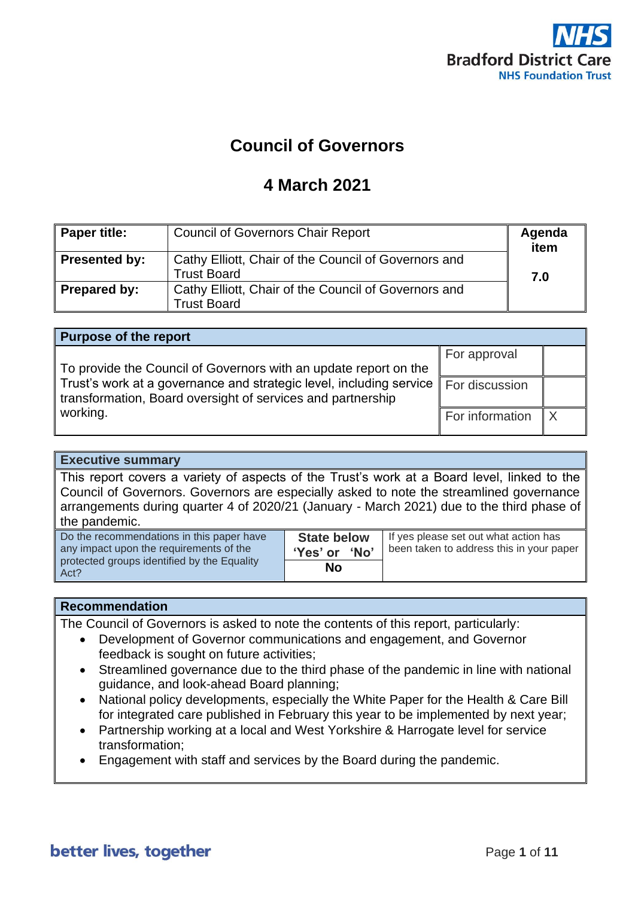

# **Council of Governors**

## **4 March 2021**

| <b>Paper title:</b> | <b>Council of Governors Chair Report</b>                                   | Agenda<br>item |
|---------------------|----------------------------------------------------------------------------|----------------|
| Presented by:       | Cathy Elliott, Chair of the Council of Governors and<br><b>Trust Board</b> | 7.0            |
| Prepared by:        | Cathy Elliott, Chair of the Council of Governors and<br><b>Trust Board</b> |                |

| <b>Purpose of the report</b>                                                                                                                      |                 |  |
|---------------------------------------------------------------------------------------------------------------------------------------------------|-----------------|--|
| To provide the Council of Governors with an update report on the                                                                                  | For approval    |  |
| Trust's work at a governance and strategic level, including service For discussion<br>transformation, Board oversight of services and partnership |                 |  |
| working.                                                                                                                                          | For information |  |

#### **Executive summary**

This report covers a variety of aspects of the Trust's work at a Board level, linked to the Council of Governors. Governors are especially asked to note the streamlined governance arrangements during quarter 4 of 2020/21 (January - March 2021) due to the third phase of the pandemic.

| Do the recommendations in this paper have<br>any impact upon the requirements of the | <b>State below</b><br>'Yes' or 'No' | If yes please set out what action has<br>been taken to address this in your paper |
|--------------------------------------------------------------------------------------|-------------------------------------|-----------------------------------------------------------------------------------|
| protected groups identified by the Equality<br>Act?                                  | <b>No</b>                           |                                                                                   |

#### **Recommendation**

The Council of Governors is asked to note the contents of this report, particularly:

- Development of Governor communications and engagement, and Governor feedback is sought on future activities;
- Streamlined governance due to the third phase of the pandemic in line with national guidance, and look-ahead Board planning;
- National policy developments, especially the White Paper for the Health & Care Bill for integrated care published in February this year to be implemented by next year;
- Partnership working at a local and West Yorkshire & Harrogate level for service transformation;
- Engagement with staff and services by the Board during the pandemic.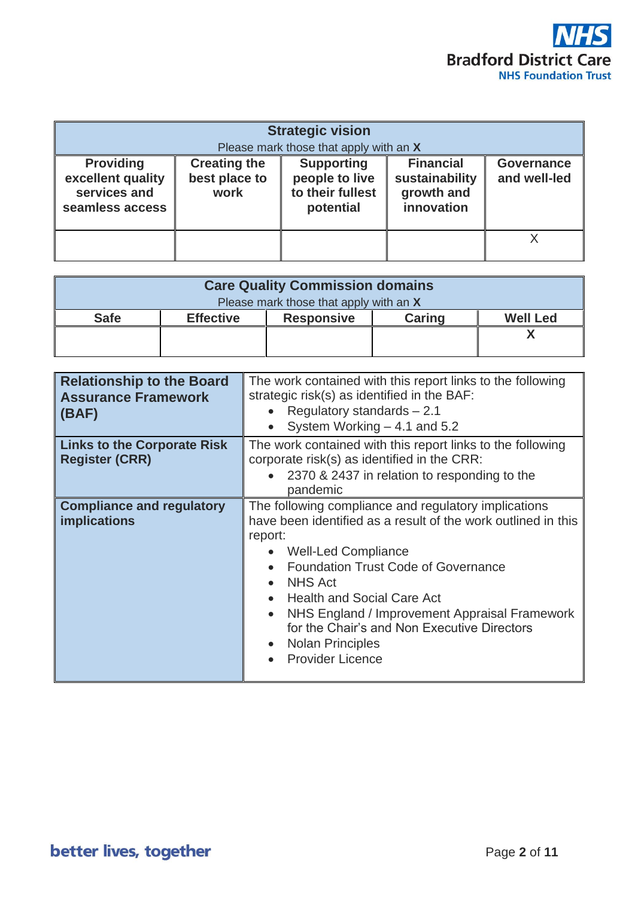

|                                                                          |                                              | <b>Strategic vision</b><br>Please mark those that apply with an X    |                                                                |                            |
|--------------------------------------------------------------------------|----------------------------------------------|----------------------------------------------------------------------|----------------------------------------------------------------|----------------------------|
| <b>Providing</b><br>excellent quality<br>services and<br>seamless access | <b>Creating the</b><br>best place to<br>work | <b>Supporting</b><br>people to live<br>to their fullest<br>potential | <b>Financial</b><br>sustainability<br>growth and<br>innovation | Governance<br>and well-led |
|                                                                          |                                              |                                                                      |                                                                |                            |

|             |                  | <b>Care Quality Commission domains</b> |        |                 |
|-------------|------------------|----------------------------------------|--------|-----------------|
|             |                  | Please mark those that apply with an X |        |                 |
| <b>Safe</b> | <b>Effective</b> | <b>Responsive</b>                      | Caring | <b>Well Led</b> |
|             |                  |                                        |        |                 |
|             |                  |                                        |        |                 |

| <b>Relationship to the Board</b><br><b>Assurance Framework</b><br>$\mathsf{I}(\mathsf{BAF})$ | The work contained with this report links to the following<br>strategic risk(s) as identified in the BAF:<br>Regulatory standards $-2.1$<br>System Working $-4.1$ and 5.2                                                                                                                                                                                                                                                                                                     |
|----------------------------------------------------------------------------------------------|-------------------------------------------------------------------------------------------------------------------------------------------------------------------------------------------------------------------------------------------------------------------------------------------------------------------------------------------------------------------------------------------------------------------------------------------------------------------------------|
| <b>Links to the Corporate Risk</b><br><b>Register (CRR)</b>                                  | The work contained with this report links to the following<br>corporate risk(s) as identified in the CRR:<br>2370 & 2437 in relation to responding to the<br>pandemic                                                                                                                                                                                                                                                                                                         |
| <b>Compliance and regulatory</b><br><b>implications</b>                                      | The following compliance and regulatory implications<br>have been identified as a result of the work outlined in this<br>report:<br><b>Well-Led Compliance</b><br><b>Foundation Trust Code of Governance</b><br><b>NHS Act</b><br>$\bullet$<br><b>Health and Social Care Act</b><br>$\bullet$<br>NHS England / Improvement Appraisal Framework<br>$\bullet$<br>for the Chair's and Non Executive Directors<br><b>Nolan Principles</b><br>$\bullet$<br><b>Provider Licence</b> |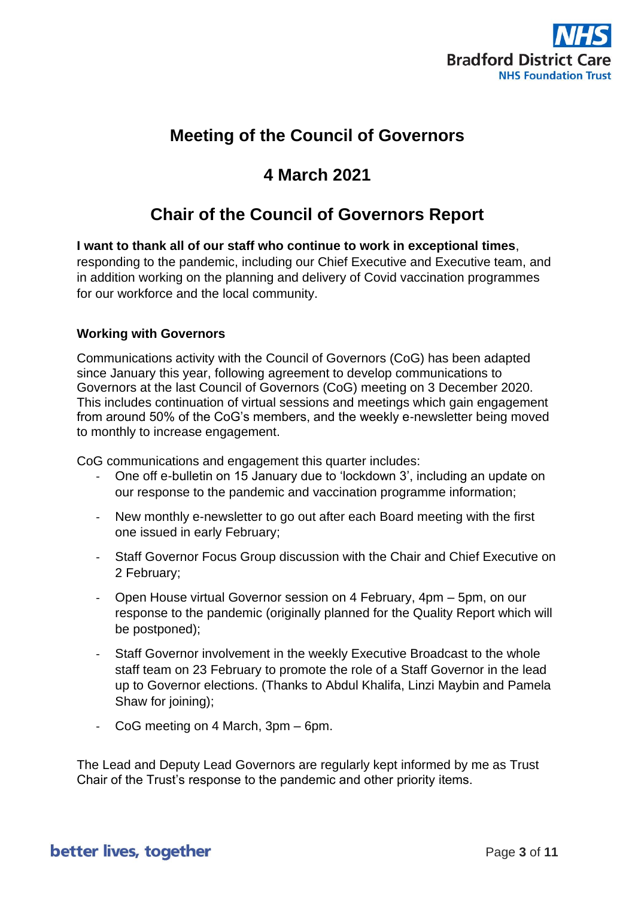

# **Meeting of the Council of Governors**

# **4 March 2021**

# **Chair of the Council of Governors Report**

**I want to thank all of our staff who continue to work in exceptional times**, responding to the pandemic, including our Chief Executive and Executive team, and in addition working on the planning and delivery of Covid vaccination programmes for our workforce and the local community.

### **Working with Governors**

Communications activity with the Council of Governors (CoG) has been adapted since January this year, following agreement to develop communications to Governors at the last Council of Governors (CoG) meeting on 3 December 2020. This includes continuation of virtual sessions and meetings which gain engagement from around 50% of the CoG's members, and the weekly e-newsletter being moved to monthly to increase engagement.

CoG communications and engagement this quarter includes:

- One off e-bulletin on 15 January due to 'lockdown 3', including an update on our response to the pandemic and vaccination programme information;
- New monthly e-newsletter to go out after each Board meeting with the first one issued in early February;
- Staff Governor Focus Group discussion with the Chair and Chief Executive on 2 February;
- Open House virtual Governor session on 4 February, 4pm 5pm, on our response to the pandemic (originally planned for the Quality Report which will be postponed);
- Staff Governor involvement in the weekly Executive Broadcast to the whole staff team on 23 February to promote the role of a Staff Governor in the lead up to Governor elections. (Thanks to Abdul Khalifa, Linzi Maybin and Pamela Shaw for joining);
- CoG meeting on 4 March, 3pm 6pm.

The Lead and Deputy Lead Governors are regularly kept informed by me as Trust Chair of the Trust's response to the pandemic and other priority items.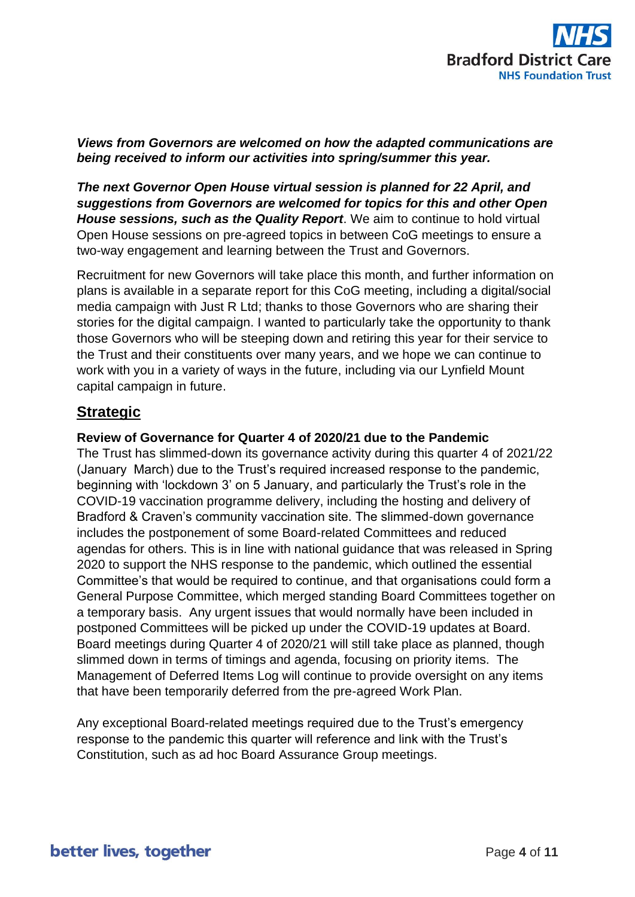

#### *Views from Governors are welcomed on how the adapted communications are being received to inform our activities into spring/summer this year.*

*The next Governor Open House virtual session is planned for 22 April, and suggestions from Governors are welcomed for topics for this and other Open House sessions, such as the Quality Report*. We aim to continue to hold virtual Open House sessions on pre-agreed topics in between CoG meetings to ensure a two-way engagement and learning between the Trust and Governors.

Recruitment for new Governors will take place this month, and further information on plans is available in a separate report for this CoG meeting, including a digital/social media campaign with Just R Ltd; thanks to those Governors who are sharing their stories for the digital campaign. I wanted to particularly take the opportunity to thank those Governors who will be steeping down and retiring this year for their service to the Trust and their constituents over many years, and we hope we can continue to work with you in a variety of ways in the future, including via our Lynfield Mount capital campaign in future.

## **Strategic**

### **Review of Governance for Quarter 4 of 2020/21 due to the Pandemic**

The Trust has slimmed-down its governance activity during this quarter 4 of 2021/22 (January March) due to the Trust's required increased response to the pandemic, beginning with 'lockdown 3' on 5 January, and particularly the Trust's role in the COVID-19 vaccination programme delivery, including the hosting and delivery of Bradford & Craven's community vaccination site. The slimmed-down governance includes the postponement of some Board-related Committees and reduced agendas for others. This is in line with national guidance that was released in Spring 2020 to support the NHS response to the pandemic, which outlined the essential Committee's that would be required to continue, and that organisations could form a General Purpose Committee, which merged standing Board Committees together on a temporary basis. Any urgent issues that would normally have been included in postponed Committees will be picked up under the COVID-19 updates at Board. Board meetings during Quarter 4 of 2020/21 will still take place as planned, though slimmed down in terms of timings and agenda, focusing on priority items. The Management of Deferred Items Log will continue to provide oversight on any items that have been temporarily deferred from the pre-agreed Work Plan.

Any exceptional Board-related meetings required due to the Trust's emergency response to the pandemic this quarter will reference and link with the Trust's Constitution, such as ad hoc Board Assurance Group meetings.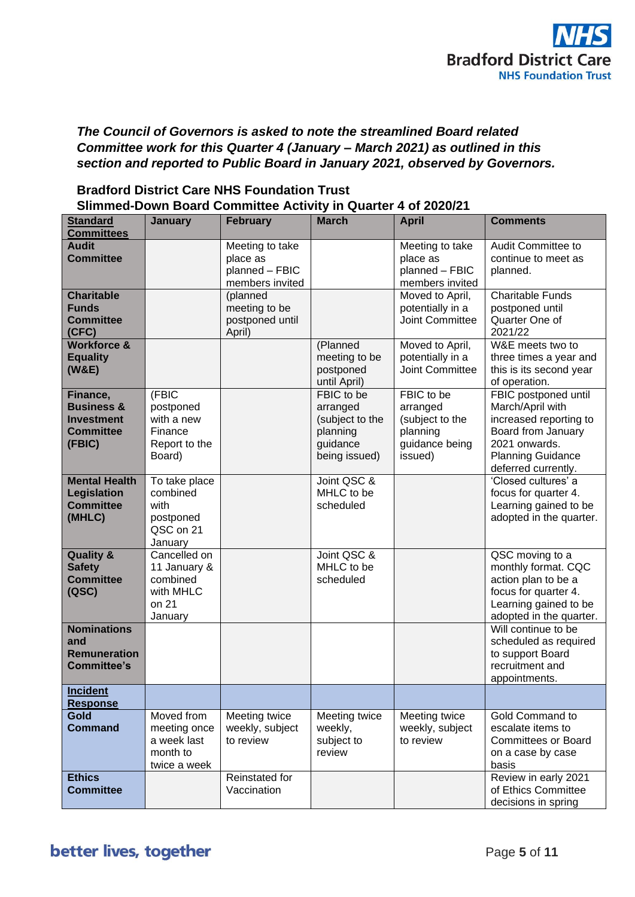

### *The Council of Governors is asked to note the streamlined Board related Committee work for this Quarter 4 (January – March 2021) as outlined in this section and reported to Public Board in January 2021, observed by Governors.*

|                                           |                      | Slimmed-Down Board Committee Activity in Quarter 4 of 2020/21 |                            |                            |                                             |
|-------------------------------------------|----------------------|---------------------------------------------------------------|----------------------------|----------------------------|---------------------------------------------|
| <b>Standard</b>                           | January              | <b>February</b>                                               | <b>March</b>               | <b>April</b>               | <b>Comments</b>                             |
| <b>Committees</b>                         |                      |                                                               |                            |                            |                                             |
| <b>Audit</b>                              |                      | Meeting to take                                               |                            | Meeting to take            | Audit Committee to                          |
| <b>Committee</b>                          |                      | place as<br>planned - FBIC                                    |                            | place as<br>planned - FBIC | continue to meet as<br>planned.             |
|                                           |                      | members invited                                               |                            | members invited            |                                             |
| <b>Charitable</b>                         |                      | (planned                                                      |                            | Moved to April,            | <b>Charitable Funds</b>                     |
| <b>Funds</b>                              |                      | meeting to be                                                 |                            | potentially in a           | postponed until                             |
| <b>Committee</b>                          |                      | postponed until                                               |                            | <b>Joint Committee</b>     | Quarter One of                              |
| (CFC)                                     |                      | April)                                                        |                            |                            | 2021/22                                     |
| <b>Workforce &amp;</b>                    |                      |                                                               | (Planned                   | Moved to April,            | W&E meets two to                            |
| <b>Equality</b>                           |                      |                                                               | meeting to be              | potentially in a           | three times a year and                      |
| (W&E)                                     |                      |                                                               | postponed                  | Joint Committee            | this is its second year                     |
|                                           | (FBIC                |                                                               | until April)<br>FBIC to be | FBIC to be                 | of operation.                               |
| Finance,<br><b>Business &amp;</b>         | postponed            |                                                               | arranged                   | arranged                   | FBIC postponed until<br>March/April with    |
| <b>Investment</b>                         | with a new           |                                                               | (subject to the            | (subject to the            | increased reporting to                      |
| <b>Committee</b>                          | Finance              |                                                               | planning                   | planning                   | Board from January                          |
| (FBIC)                                    | Report to the        |                                                               | guidance                   | guidance being             | 2021 onwards.                               |
|                                           | Board)               |                                                               | being issued)              | issued)                    | <b>Planning Guidance</b>                    |
|                                           |                      |                                                               |                            |                            | deferred currently.                         |
| <b>Mental Health</b>                      | To take place        |                                                               | Joint QSC &                |                            | 'Closed cultures' a                         |
| Legislation                               | combined             |                                                               | MHLC to be                 |                            | focus for quarter 4.                        |
| <b>Committee</b>                          | with                 |                                                               | scheduled                  |                            | Learning gained to be                       |
| (MHLC)                                    | postponed            |                                                               |                            |                            | adopted in the quarter.                     |
|                                           | QSC on 21<br>January |                                                               |                            |                            |                                             |
| <b>Quality &amp;</b>                      | Cancelled on         |                                                               | Joint QSC &                |                            | QSC moving to a                             |
| <b>Safety</b>                             | 11 January &         |                                                               | MHLC to be                 |                            | monthly format. CQC                         |
| <b>Committee</b>                          | combined             |                                                               | scheduled                  |                            | action plan to be a                         |
| (QSC)                                     | with MHLC            |                                                               |                            |                            | focus for quarter 4.                        |
|                                           | on 21                |                                                               |                            |                            | Learning gained to be                       |
|                                           | January              |                                                               |                            |                            | adopted in the quarter.                     |
| <b>Nominations</b>                        |                      |                                                               |                            |                            | Will continue to be                         |
| and                                       |                      |                                                               |                            |                            | scheduled as required                       |
| <b>Remuneration</b><br><b>Committee's</b> |                      |                                                               |                            |                            | to support Board<br>recruitment and         |
|                                           |                      |                                                               |                            |                            | appointments.                               |
| <b>Incident</b>                           |                      |                                                               |                            |                            |                                             |
| <b>Response</b>                           |                      |                                                               |                            |                            |                                             |
| <b>Gold</b>                               | Moved from           | Meeting twice                                                 | Meeting twice              | Meeting twice              | Gold Command to                             |
| <b>Command</b>                            | meeting once         | weekly, subject                                               | weekly,                    | weekly, subject            | escalate items to                           |
|                                           | a week last          | to review                                                     | subject to                 | to review                  | <b>Committees or Board</b>                  |
|                                           | month to             |                                                               | review                     |                            | on a case by case                           |
|                                           | twice a week         |                                                               |                            |                            | basis                                       |
| <b>Ethics</b><br><b>Committee</b>         |                      | Reinstated for<br>Vaccination                                 |                            |                            | Review in early 2021<br>of Ethics Committee |
|                                           |                      |                                                               |                            |                            | decisions in spring                         |

### **Bradford District Care NHS Foundation Trust Slimmed-Down Board Committee Activity in Quarter 4 of 2020/21**

# better lives, together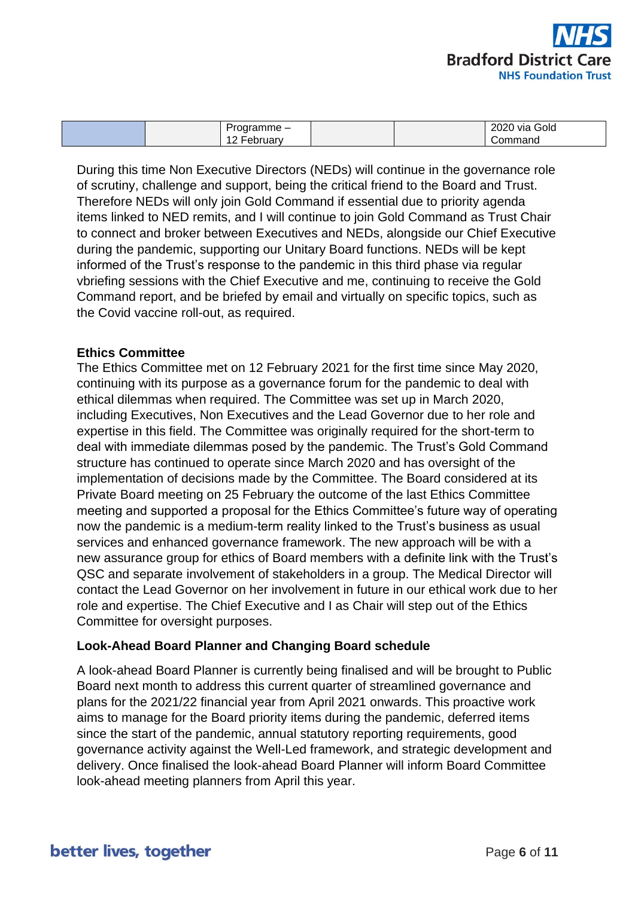

| 2020<br>-<br>Gold<br>าาจmme –<br>via<br>л<br>Command<br><b>JAN</b><br>. |
|-------------------------------------------------------------------------|
|-------------------------------------------------------------------------|

During this time Non Executive Directors (NEDs) will continue in the governance role of scrutiny, challenge and support, being the critical friend to the Board and Trust. Therefore NEDs will only join Gold Command if essential due to priority agenda items linked to NED remits, and I will continue to join Gold Command as Trust Chair to connect and broker between Executives and NEDs, alongside our Chief Executive during the pandemic, supporting our Unitary Board functions. NEDs will be kept informed of the Trust's response to the pandemic in this third phase via regular vbriefing sessions with the Chief Executive and me, continuing to receive the Gold Command report, and be briefed by email and virtually on specific topics, such as the Covid vaccine roll-out, as required.

### **Ethics Committee**

The Ethics Committee met on 12 February 2021 for the first time since May 2020, continuing with its purpose as a governance forum for the pandemic to deal with ethical dilemmas when required. The Committee was set up in March 2020, including Executives, Non Executives and the Lead Governor due to her role and expertise in this field. The Committee was originally required for the short-term to deal with immediate dilemmas posed by the pandemic. The Trust's Gold Command structure has continued to operate since March 2020 and has oversight of the implementation of decisions made by the Committee. The Board considered at its Private Board meeting on 25 February the outcome of the last Ethics Committee meeting and supported a proposal for the Ethics Committee's future way of operating now the pandemic is a medium-term reality linked to the Trust's business as usual services and enhanced governance framework. The new approach will be with a new assurance group for ethics of Board members with a definite link with the Trust's QSC and separate involvement of stakeholders in a group. The Medical Director will contact the Lead Governor on her involvement in future in our ethical work due to her role and expertise. The Chief Executive and I as Chair will step out of the Ethics Committee for oversight purposes.

### **Look-Ahead Board Planner and Changing Board schedule**

A look-ahead Board Planner is currently being finalised and will be brought to Public Board next month to address this current quarter of streamlined governance and plans for the 2021/22 financial year from April 2021 onwards. This proactive work aims to manage for the Board priority items during the pandemic, deferred items since the start of the pandemic, annual statutory reporting requirements, good governance activity against the Well-Led framework, and strategic development and delivery. Once finalised the look-ahead Board Planner will inform Board Committee look-ahead meeting planners from April this year.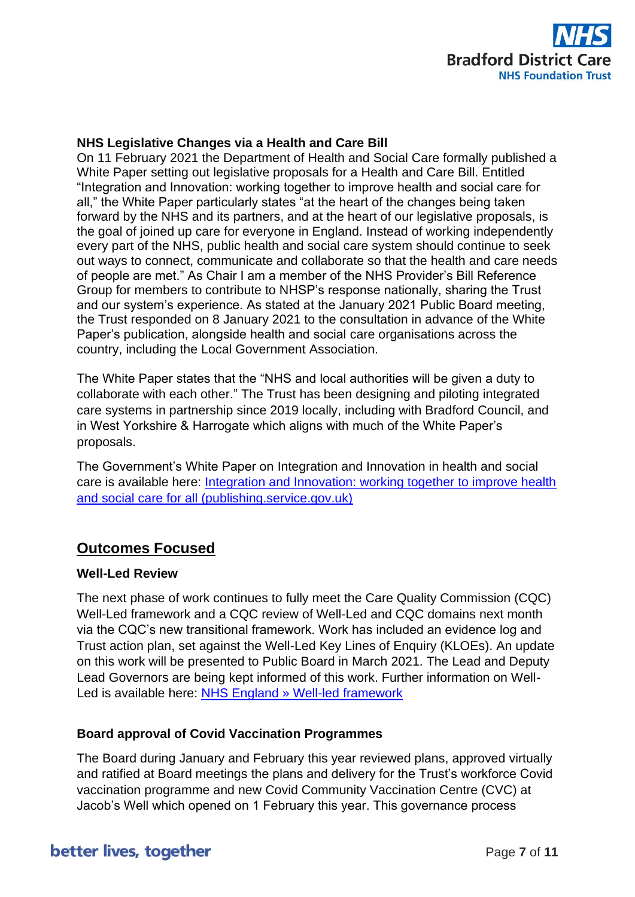

### **NHS Legislative Changes via a Health and Care Bill**

On 11 February 2021 the Department of Health and Social Care formally published a White Paper setting out legislative proposals for a Health and Care Bill. Entitled "Integration and Innovation: working together to improve health and social care for all," the White Paper particularly states "at the heart of the changes being taken forward by the NHS and its partners, and at the heart of our legislative proposals, is the goal of joined up care for everyone in England. Instead of working independently every part of the NHS, public health and social care system should continue to seek out ways to connect, communicate and collaborate so that the health and care needs of people are met." As Chair I am a member of the NHS Provider's Bill Reference Group for members to contribute to NHSP's response nationally, sharing the Trust and our system's experience. As stated at the January 2021 Public Board meeting, the Trust responded on 8 January 2021 to the consultation in advance of the White Paper's publication, alongside health and social care organisations across the country, including the Local Government Association.

The White Paper states that the "NHS and local authorities will be given a duty to collaborate with each other." The Trust has been designing and piloting integrated care systems in partnership since 2019 locally, including with Bradford Council, and in West Yorkshire & Harrogate which aligns with much of the White Paper's proposals.

The Government's White Paper on Integration and Innovation in health and social care is available here: [Integration and Innovation: working together to improve health](https://assets.publishing.service.gov.uk/government/uploads/system/uploads/attachment_data/file/960548/integration-and-innovation-working-together-to-improve-health-and-social-care-for-all-web-version.pdf?utm_campaign=545829_Legislative%20proposals%20for%20a%20health%20and%20care%20bill&utm_medium=email&utm_source=NHS%20Providers%20%28Policy%20and%20networks%29&Organisation=Bradford%20District%20Care%20NHS%20Foundation%20Trust&dm_i=52PX,BP5X,13C9H8,1C8J8,1)  [and social care for all \(publishing.service.gov.uk\)](https://assets.publishing.service.gov.uk/government/uploads/system/uploads/attachment_data/file/960548/integration-and-innovation-working-together-to-improve-health-and-social-care-for-all-web-version.pdf?utm_campaign=545829_Legislative%20proposals%20for%20a%20health%20and%20care%20bill&utm_medium=email&utm_source=NHS%20Providers%20%28Policy%20and%20networks%29&Organisation=Bradford%20District%20Care%20NHS%20Foundation%20Trust&dm_i=52PX,BP5X,13C9H8,1C8J8,1)

## **Outcomes Focused**

### **Well-Led Review**

The next phase of work continues to fully meet the Care Quality Commission (CQC) Well-Led framework and a CQC review of Well-Led and CQC domains next month via the CQC's new transitional framework. Work has included an evidence log and Trust action plan, set against the Well-Led Key Lines of Enquiry (KLOEs). An update on this work will be presented to Public Board in March 2021. The Lead and Deputy Lead Governors are being kept informed of this work. Further information on Well-Led is available here: [NHS England » Well-led framework](https://www.england.nhs.uk/well-led-framework/)

### **Board approval of Covid Vaccination Programmes**

The Board during January and February this year reviewed plans, approved virtually and ratified at Board meetings the plans and delivery for the Trust's workforce Covid vaccination programme and new Covid Community Vaccination Centre (CVC) at Jacob's Well which opened on 1 February this year. This governance process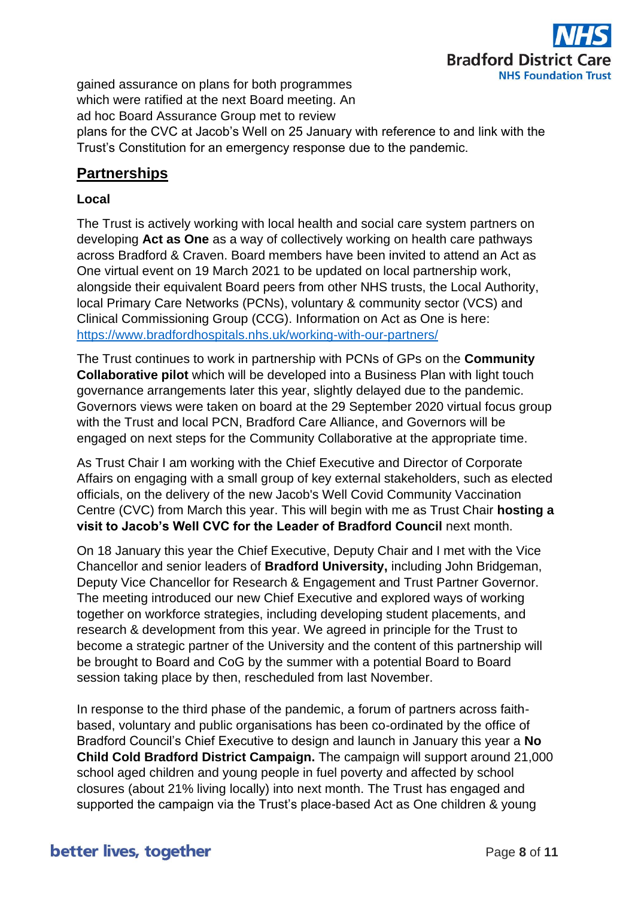

gained assurance on plans for both programmes which were ratified at the next Board meeting. An ad hoc Board Assurance Group met to review plans for the CVC at Jacob's Well on 25 January with reference to and link with the Trust's Constitution for an emergency response due to the pandemic.

## **Partnerships**

### **Local**

The Trust is actively working with local health and social care system partners on developing **Act as One** as a way of collectively working on health care pathways across Bradford & Craven. Board members have been invited to attend an Act as One virtual event on 19 March 2021 to be updated on local partnership work, alongside their equivalent Board peers from other NHS trusts, the Local Authority, local Primary Care Networks (PCNs), voluntary & community sector (VCS) and Clinical Commissioning Group (CCG). Information on Act as One is here: <https://www.bradfordhospitals.nhs.uk/working-with-our-partners/>

The Trust continues to work in partnership with PCNs of GPs on the **Community Collaborative pilot** which will be developed into a Business Plan with light touch governance arrangements later this year, slightly delayed due to the pandemic. Governors views were taken on board at the 29 September 2020 virtual focus group with the Trust and local PCN, Bradford Care Alliance, and Governors will be engaged on next steps for the Community Collaborative at the appropriate time.

As Trust Chair I am working with the Chief Executive and Director of Corporate Affairs on engaging with a small group of key external stakeholders, such as elected officials, on the delivery of the new Jacob's Well Covid Community Vaccination Centre (CVC) from March this year. This will begin with me as Trust Chair **hosting a visit to Jacob's Well CVC for the Leader of Bradford Council** next month.

On 18 January this year the Chief Executive, Deputy Chair and I met with the Vice Chancellor and senior leaders of **Bradford University,** including John Bridgeman, Deputy Vice Chancellor for Research & Engagement and Trust Partner Governor. The meeting introduced our new Chief Executive and explored ways of working together on workforce strategies, including developing student placements, and research & development from this year. We agreed in principle for the Trust to become a strategic partner of the University and the content of this partnership will be brought to Board and CoG by the summer with a potential Board to Board session taking place by then, rescheduled from last November.

In response to the third phase of the pandemic, a forum of partners across faithbased, voluntary and public organisations has been co-ordinated by the office of Bradford Council's Chief Executive to design and launch in January this year a **No Child Cold Bradford District Campaign.** The campaign will support around 21,000 school aged children and young people in fuel poverty and affected by school closures (about 21% living locally) into next month. The Trust has engaged and supported the campaign via the Trust's place-based Act as One children & young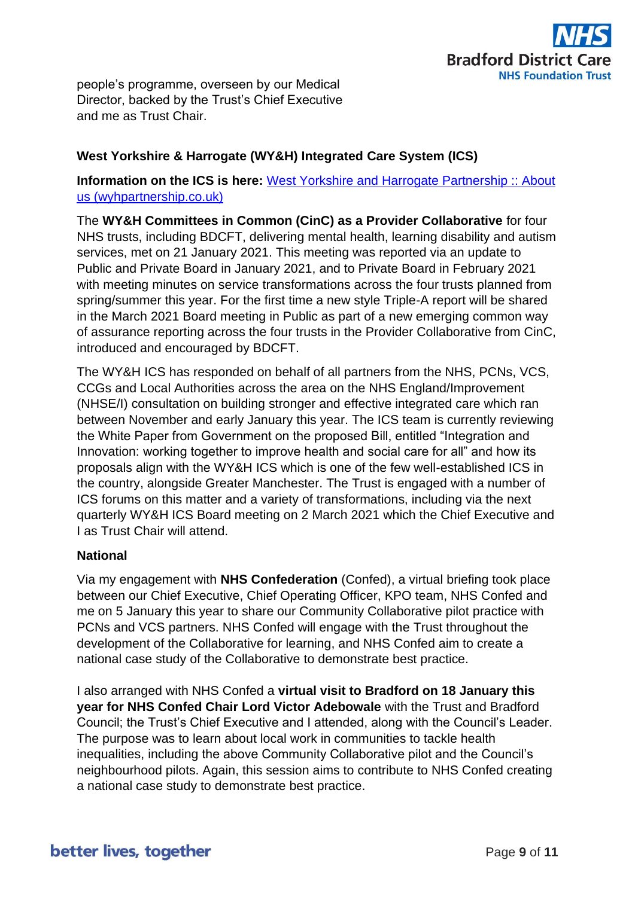

people's programme, overseen by our Medical Director, backed by the Trust's Chief Executive and me as Trust Chair.

### **West Yorkshire & Harrogate (WY&H) Integrated Care System (ICS)**

### **Information on the ICS is here:** [West Yorkshire and Harrogate Partnership :: About](https://www.wyhpartnership.co.uk/about)  [us \(wyhpartnership.co.uk\)](https://www.wyhpartnership.co.uk/about)

The **WY&H Committees in Common (CinC) as a Provider Collaborative** for four NHS trusts, including BDCFT, delivering mental health, learning disability and autism services, met on 21 January 2021. This meeting was reported via an update to Public and Private Board in January 2021, and to Private Board in February 2021 with meeting minutes on service transformations across the four trusts planned from spring/summer this year. For the first time a new style Triple-A report will be shared in the March 2021 Board meeting in Public as part of a new emerging common way of assurance reporting across the four trusts in the Provider Collaborative from CinC, introduced and encouraged by BDCFT.

The WY&H ICS has responded on behalf of all partners from the NHS, PCNs, VCS, CCGs and Local Authorities across the area on the NHS England/Improvement (NHSE/I) consultation on building stronger and effective integrated care which ran between November and early January this year. The ICS team is currently reviewing the White Paper from Government on the proposed Bill, entitled "Integration and Innovation: working together to improve health and social care for all" and how its proposals align with the WY&H ICS which is one of the few well-established ICS in the country, alongside Greater Manchester. The Trust is engaged with a number of ICS forums on this matter and a variety of transformations, including via the next quarterly WY&H ICS Board meeting on 2 March 2021 which the Chief Executive and I as Trust Chair will attend.

### **National**

Via my engagement with **NHS Confederation** (Confed), a virtual briefing took place between our Chief Executive, Chief Operating Officer, KPO team, NHS Confed and me on 5 January this year to share our Community Collaborative pilot practice with PCNs and VCS partners. NHS Confed will engage with the Trust throughout the development of the Collaborative for learning, and NHS Confed aim to create a national case study of the Collaborative to demonstrate best practice.

I also arranged with NHS Confed a **virtual visit to Bradford on 18 January this year for NHS Confed Chair Lord Victor Adebowale** with the Trust and Bradford Council; the Trust's Chief Executive and I attended, along with the Council's Leader. The purpose was to learn about local work in communities to tackle health inequalities, including the above Community Collaborative pilot and the Council's neighbourhood pilots. Again, this session aims to contribute to NHS Confed creating a national case study to demonstrate best practice.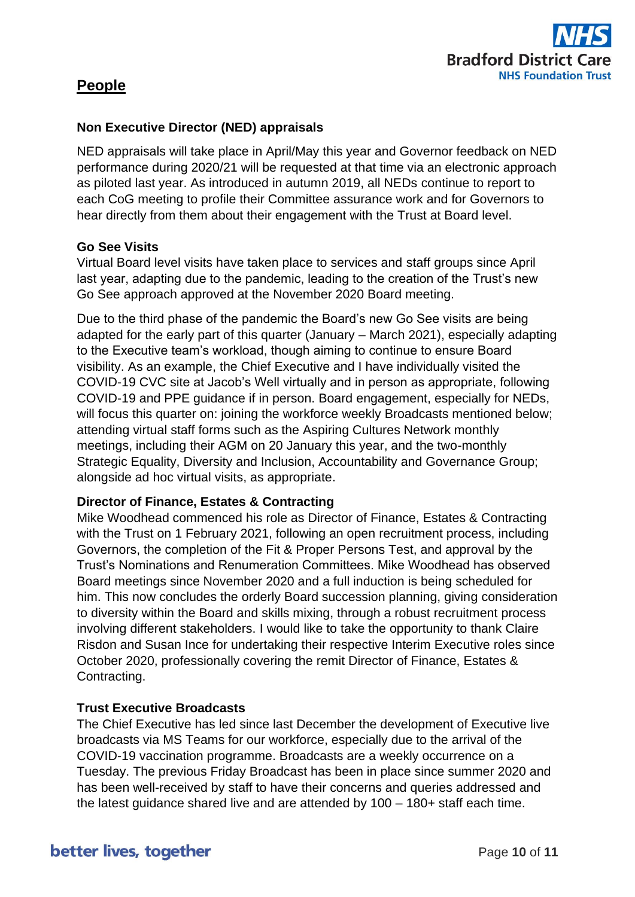

## **People**

### **Non Executive Director (NED) appraisals**

NED appraisals will take place in April/May this year and Governor feedback on NED performance during 2020/21 will be requested at that time via an electronic approach as piloted last year. As introduced in autumn 2019, all NEDs continue to report to each CoG meeting to profile their Committee assurance work and for Governors to hear directly from them about their engagement with the Trust at Board level.

### **Go See Visits**

Virtual Board level visits have taken place to services and staff groups since April last year, adapting due to the pandemic, leading to the creation of the Trust's new Go See approach approved at the November 2020 Board meeting.

Due to the third phase of the pandemic the Board's new Go See visits are being adapted for the early part of this quarter (January – March 2021), especially adapting to the Executive team's workload, though aiming to continue to ensure Board visibility. As an example, the Chief Executive and I have individually visited the COVID-19 CVC site at Jacob's Well virtually and in person as appropriate, following COVID-19 and PPE guidance if in person. Board engagement, especially for NEDs, will focus this quarter on: joining the workforce weekly Broadcasts mentioned below; attending virtual staff forms such as the Aspiring Cultures Network monthly meetings, including their AGM on 20 January this year, and the two-monthly Strategic Equality, Diversity and Inclusion, Accountability and Governance Group; alongside ad hoc virtual visits, as appropriate.

### **Director of Finance, Estates & Contracting**

Mike Woodhead commenced his role as Director of Finance, Estates & Contracting with the Trust on 1 February 2021, following an open recruitment process, including Governors, the completion of the Fit & Proper Persons Test, and approval by the Trust's Nominations and Renumeration Committees. Mike Woodhead has observed Board meetings since November 2020 and a full induction is being scheduled for him. This now concludes the orderly Board succession planning, giving consideration to diversity within the Board and skills mixing, through a robust recruitment process involving different stakeholders. I would like to take the opportunity to thank Claire Risdon and Susan Ince for undertaking their respective Interim Executive roles since October 2020, professionally covering the remit Director of Finance, Estates & Contracting.

### **Trust Executive Broadcasts**

The Chief Executive has led since last December the development of Executive live broadcasts via MS Teams for our workforce, especially due to the arrival of the COVID-19 vaccination programme. Broadcasts are a weekly occurrence on a Tuesday. The previous Friday Broadcast has been in place since summer 2020 and has been well-received by staff to have their concerns and queries addressed and the latest guidance shared live and are attended by 100 – 180+ staff each time.